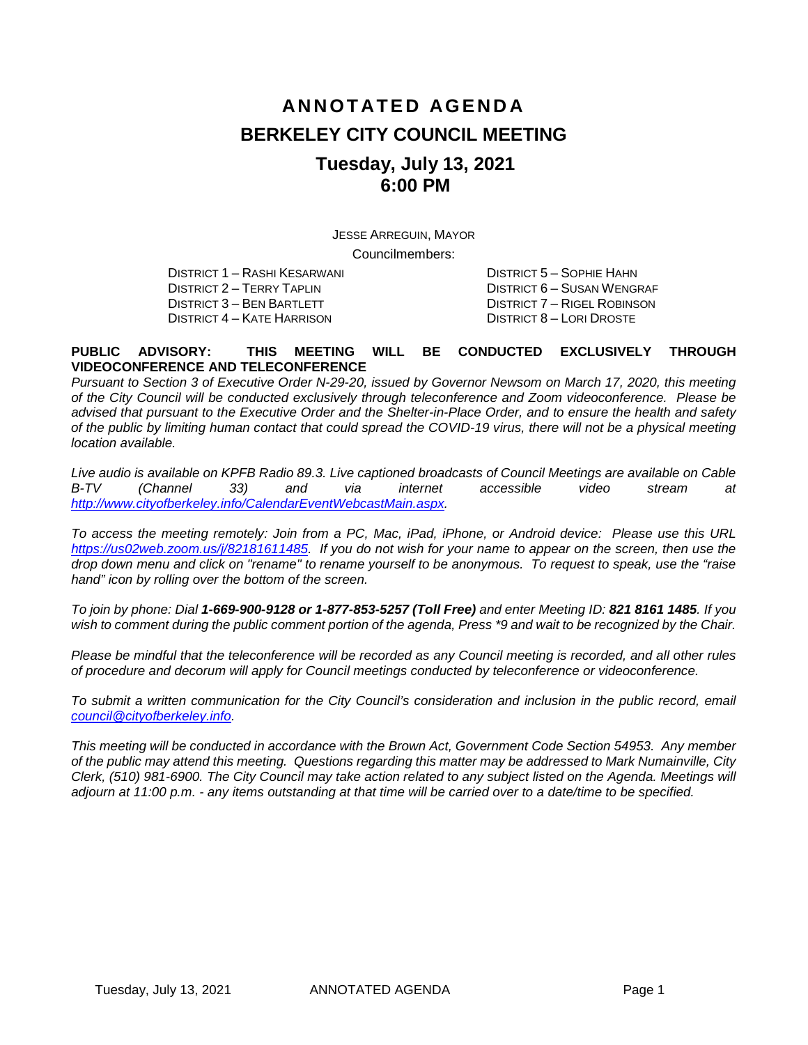# **ANNOTATED AGENDA BERKELEY CITY COUNCIL MEETING Tuesday, July 13, 2021 6:00 PM**

JESSE ARREGUIN, MAYOR

Councilmembers:

DISTRICT 2 – TERRY TAPLIN DISTRICT 6 – SUSAN WENGRAF DISTRICT 4 – KATE HARRISON

DISTRICT 1 – RASHI KESARWANI DISTRICT 5 – SOPHIE HAHN DISTRICT 7 – RIGEL ROBINSON<br>DISTRICT 8 – LORI DROSTE

#### **PUBLIC ADVISORY: THIS MEETING WILL BE CONDUCTED EXCLUSIVELY THROUGH VIDEOCONFERENCE AND TELECONFERENCE**

*Pursuant to Section 3 of Executive Order N-29-20, issued by Governor Newsom on March 17, 2020, this meeting of the City Council will be conducted exclusively through teleconference and Zoom videoconference. Please be advised that pursuant to the Executive Order and the Shelter-in-Place Order, and to ensure the health and safety of the public by limiting human contact that could spread the COVID-19 virus, there will not be a physical meeting location available.* 

*Live audio is available on KPFB Radio 89.3. Live captioned broadcasts of Council Meetings are available on Cable B-TV (Channel 33) and via internet accessible video stream at [http://www.cityofberkeley.info/CalendarEventWebcastMain.aspx.](http://www.cityofberkeley.info/CalendarEventWebcastMain.aspx)*

*To access the meeting remotely: Join from a PC, Mac, iPad, iPhone, or Android device: Please use this URL [https://us02web.zoom.us/j/82181611485.](https://us02web.zoom.us/j/82181611485) If you do not wish for your name to appear on the screen, then use the drop down menu and click on "rename" to rename yourself to be anonymous. To request to speak, use the "raise hand" icon by rolling over the bottom of the screen.* 

*To join by phone: Dial 1-669-900-9128 or 1-877-853-5257 (Toll Free) and enter Meeting ID: 821 8161 1485. If you*  wish to comment during the public comment portion of the agenda, Press \*9 and wait to be recognized by the Chair.

*Please be mindful that the teleconference will be recorded as any Council meeting is recorded, and all other rules of procedure and decorum will apply for Council meetings conducted by teleconference or videoconference.*

To submit a written communication for the City Council's consideration and inclusion in the public record, email *[council@cityofberkeley.info.](mailto:council@cityofberkeley.info)*

*This meeting will be conducted in accordance with the Brown Act, Government Code Section 54953. Any member of the public may attend this meeting. Questions regarding this matter may be addressed to Mark Numainville, City Clerk, (510) 981-6900. The City Council may take action related to any subject listed on the Agenda. Meetings will adjourn at 11:00 p.m. - any items outstanding at that time will be carried over to a date/time to be specified.*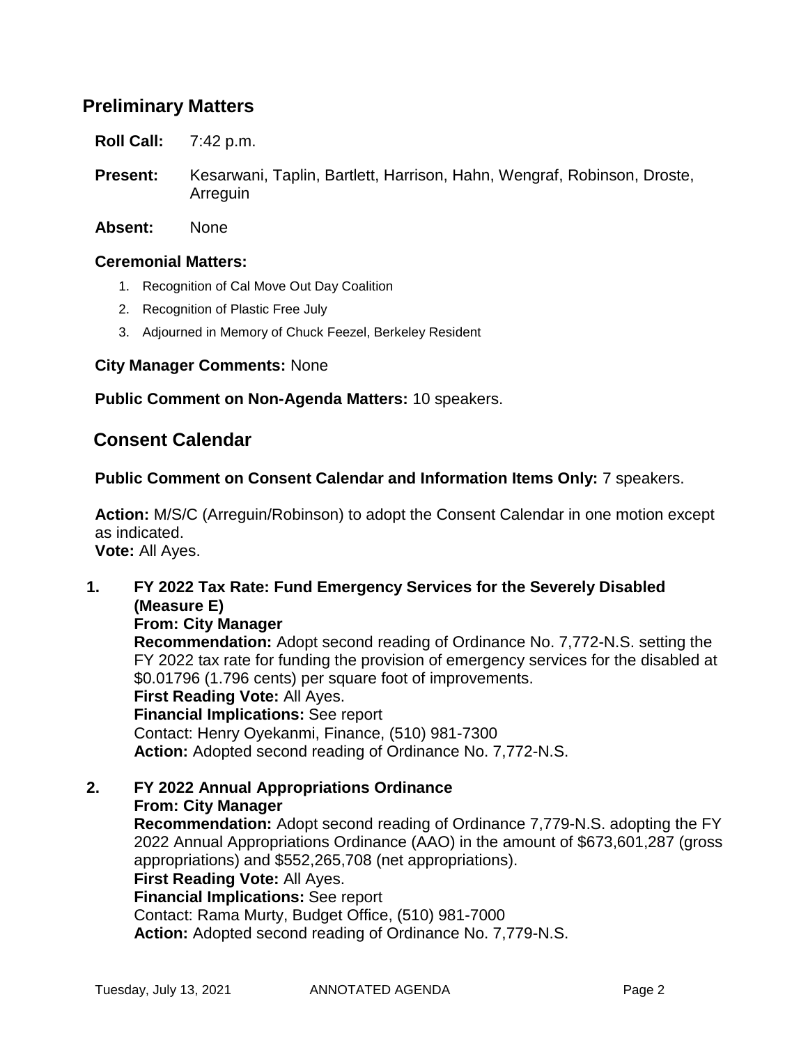# **Preliminary Matters**

**Roll Call:** 7:42 p.m.

- **Present:** Kesarwani, Taplin, Bartlett, Harrison, Hahn, Wengraf, Robinson, Droste, Arreguin
- **Absent:** None

#### **Ceremonial Matters:**

- 1. Recognition of Cal Move Out Day Coalition
- 2. Recognition of Plastic Free July
- 3. Adjourned in Memory of Chuck Feezel, Berkeley Resident

#### **City Manager Comments:** None

#### **Public Comment on Non-Agenda Matters:** 10 speakers.

### **Consent Calendar**

#### **Public Comment on Consent Calendar and Information Items Only:** 7 speakers.

**Action:** M/S/C (Arreguin/Robinson) to adopt the Consent Calendar in one motion except as indicated. **Vote:** All Ayes.

### **1. FY 2022 Tax Rate: Fund Emergency Services for the Severely Disabled (Measure E)**

**From: City Manager**

**Recommendation:** Adopt second reading of Ordinance No. 7,772-N.S. setting the FY 2022 tax rate for funding the provision of emergency services for the disabled at \$0.01796 (1.796 cents) per square foot of improvements. **First Reading Vote:** All Ayes. **Financial Implications:** See report

Contact: Henry Oyekanmi, Finance, (510) 981-7300 **Action:** Adopted second reading of Ordinance No. 7,772-N.S.

**2. FY 2022 Annual Appropriations Ordinance From: City Manager Recommendation:** Adopt second reading of Ordinance 7,779-N.S. adopting the FY 2022 Annual Appropriations Ordinance (AAO) in the amount of \$673,601,287 (gross appropriations) and \$552,265,708 (net appropriations). **First Reading Vote:** All Ayes. **Financial Implications:** See report Contact: Rama Murty, Budget Office, (510) 981-7000 **Action:** Adopted second reading of Ordinance No. 7,779-N.S.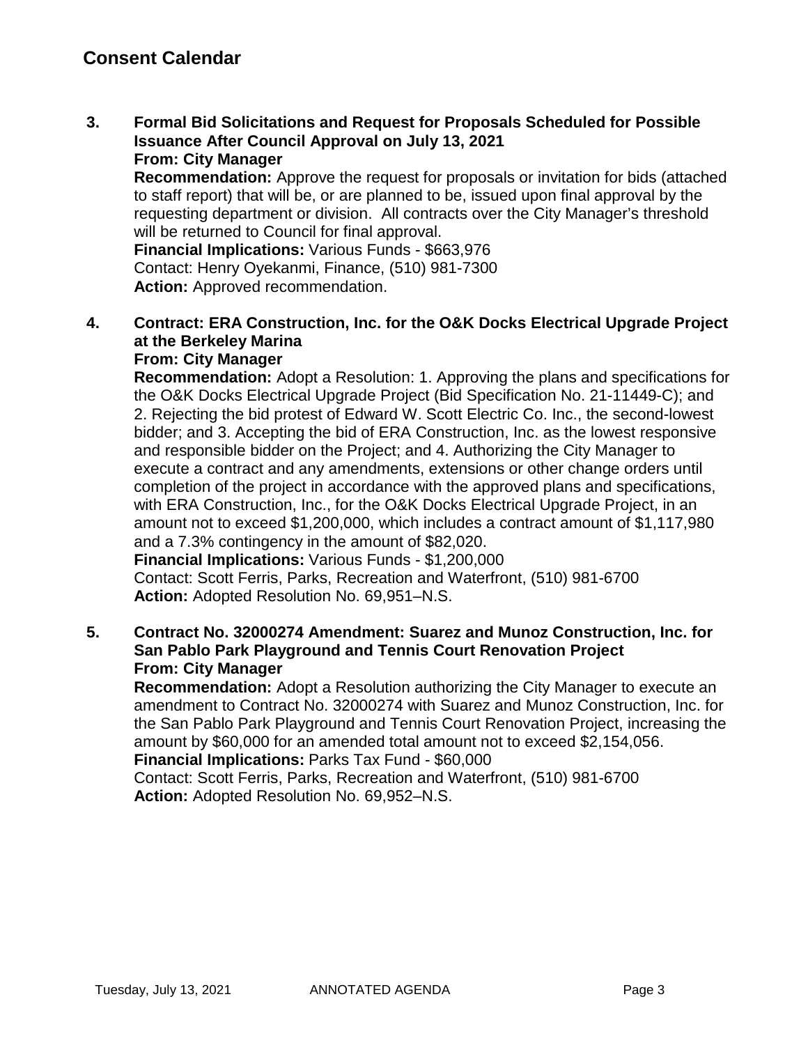**3. Formal Bid Solicitations and Request for Proposals Scheduled for Possible Issuance After Council Approval on July 13, 2021 From: City Manager**

**Recommendation:** Approve the request for proposals or invitation for bids (attached to staff report) that will be, or are planned to be, issued upon final approval by the requesting department or division. All contracts over the City Manager's threshold will be returned to Council for final approval.

**Financial Implications:** Various Funds - \$663,976 Contact: Henry Oyekanmi, Finance, (510) 981-7300 Action: Approved recommendation.

**4. Contract: ERA Construction, Inc. for the O&K Docks Electrical Upgrade Project at the Berkeley Marina**

## **From: City Manager**

**Recommendation:** Adopt a Resolution: 1. Approving the plans and specifications for the O&K Docks Electrical Upgrade Project (Bid Specification No. 21-11449-C); and 2. Rejecting the bid protest of Edward W. Scott Electric Co. Inc., the second-lowest bidder; and 3. Accepting the bid of ERA Construction, Inc. as the lowest responsive and responsible bidder on the Project; and 4. Authorizing the City Manager to execute a contract and any amendments, extensions or other change orders until completion of the project in accordance with the approved plans and specifications, with ERA Construction, Inc., for the O&K Docks Electrical Upgrade Project, in an amount not to exceed \$1,200,000, which includes a contract amount of \$1,117,980 and a 7.3% contingency in the amount of \$82,020. **Financial Implications:** Various Funds - \$1,200,000

Contact: Scott Ferris, Parks, Recreation and Waterfront, (510) 981-6700 **Action:** Adopted Resolution No. 69,951–N.S.

#### **5. Contract No. 32000274 Amendment: Suarez and Munoz Construction, Inc. for San Pablo Park Playground and Tennis Court Renovation Project From: City Manager**

**Recommendation:** Adopt a Resolution authorizing the City Manager to execute an amendment to Contract No. 32000274 with Suarez and Munoz Construction, Inc. for the San Pablo Park Playground and Tennis Court Renovation Project, increasing the amount by \$60,000 for an amended total amount not to exceed \$2,154,056. **Financial Implications:** Parks Tax Fund - \$60,000

Contact: Scott Ferris, Parks, Recreation and Waterfront, (510) 981-6700 **Action:** Adopted Resolution No. 69,952–N.S.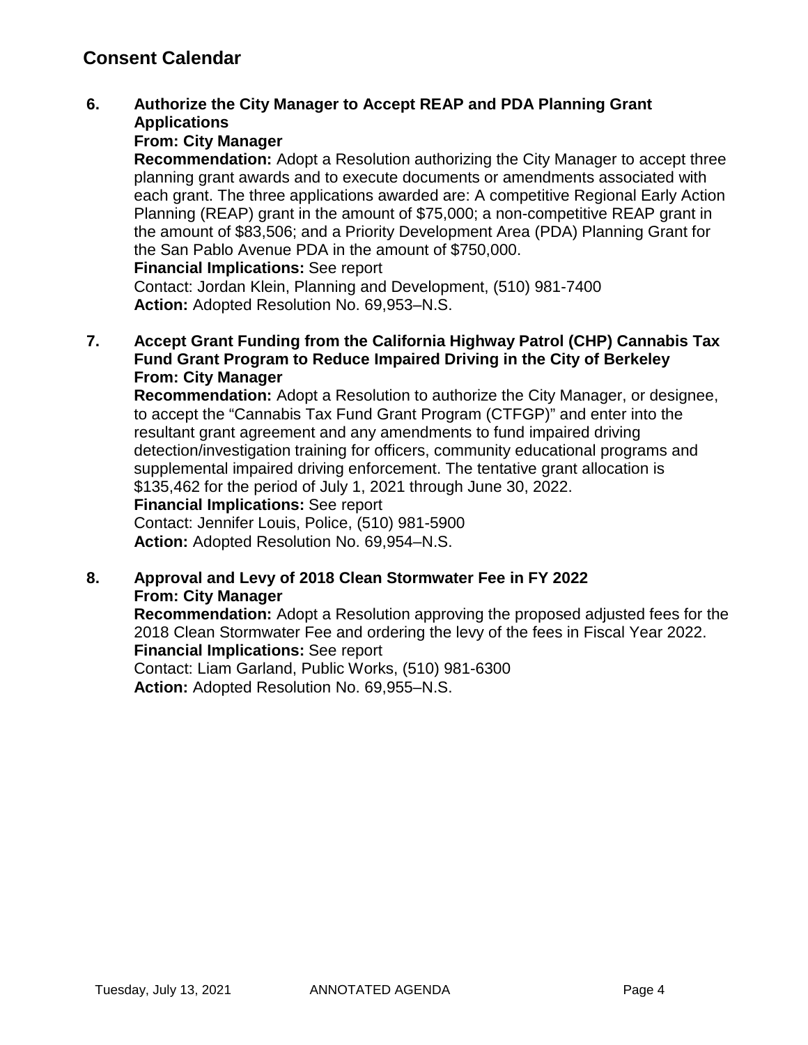# **Consent Calendar**

### **6. Authorize the City Manager to Accept REAP and PDA Planning Grant Applications**

#### **From: City Manager**

**Recommendation:** Adopt a Resolution authorizing the City Manager to accept three planning grant awards and to execute documents or amendments associated with each grant. The three applications awarded are: A competitive Regional Early Action Planning (REAP) grant in the amount of \$75,000; a non-competitive REAP grant in the amount of \$83,506; and a Priority Development Area (PDA) Planning Grant for the San Pablo Avenue PDA in the amount of \$750,000.

#### **Financial Implications:** See report

Contact: Jordan Klein, Planning and Development, (510) 981-7400 **Action:** Adopted Resolution No. 69,953–N.S.

#### **7. Accept Grant Funding from the California Highway Patrol (CHP) Cannabis Tax Fund Grant Program to Reduce Impaired Driving in the City of Berkeley From: City Manager**

**Recommendation:** Adopt a Resolution to authorize the City Manager, or designee, to accept the "Cannabis Tax Fund Grant Program (CTFGP)" and enter into the resultant grant agreement and any amendments to fund impaired driving detection/investigation training for officers, community educational programs and supplemental impaired driving enforcement. The tentative grant allocation is \$135,462 for the period of July 1, 2021 through June 30, 2022.

#### **Financial Implications:** See report

Contact: Jennifer Louis, Police, (510) 981-5900 **Action:** Adopted Resolution No. 69,954–N.S.

#### **8. Approval and Levy of 2018 Clean Stormwater Fee in FY 2022 From: City Manager**

**Recommendation:** Adopt a Resolution approving the proposed adjusted fees for the 2018 Clean Stormwater Fee and ordering the levy of the fees in Fiscal Year 2022. **Financial Implications:** See report

Contact: Liam Garland, Public Works, (510) 981-6300 **Action:** Adopted Resolution No. 69,955–N.S.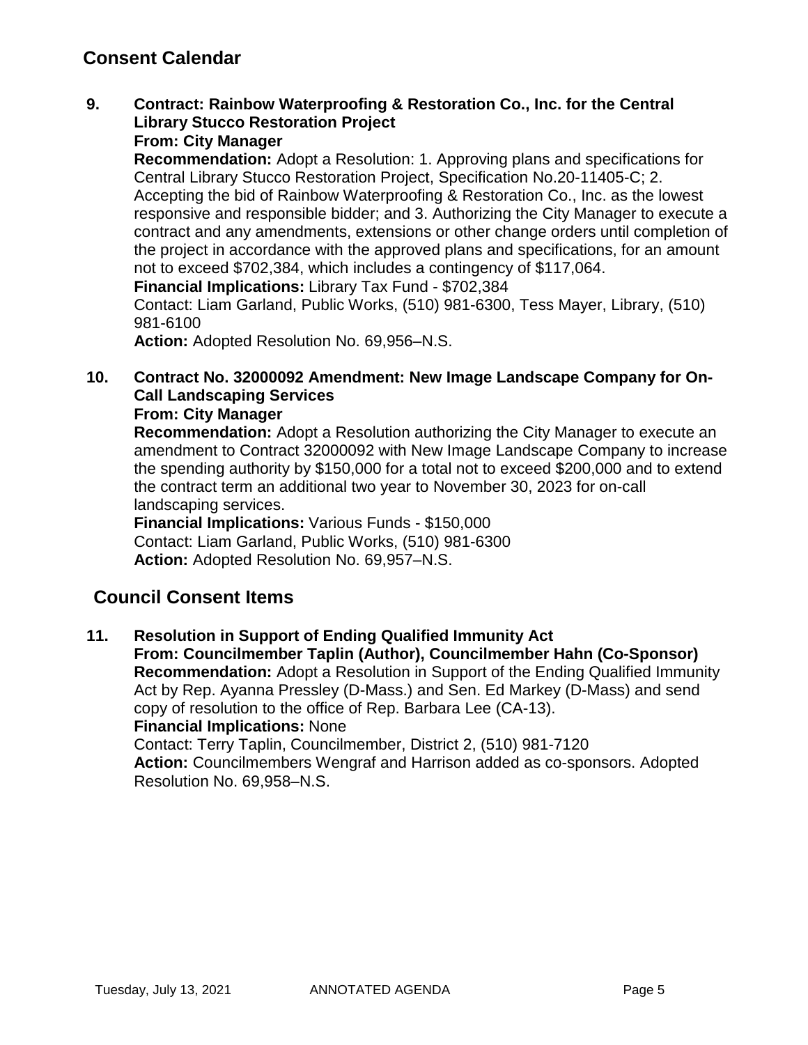# **Consent Calendar**

**9. Contract: Rainbow Waterproofing & Restoration Co., Inc. for the Central Library Stucco Restoration Project**

### **From: City Manager**

**Recommendation:** Adopt a Resolution: 1. Approving plans and specifications for Central Library Stucco Restoration Project, Specification No.20-11405-C; 2. Accepting the bid of Rainbow Waterproofing & Restoration Co., Inc. as the lowest responsive and responsible bidder; and 3. Authorizing the City Manager to execute a contract and any amendments, extensions or other change orders until completion of the project in accordance with the approved plans and specifications, for an amount not to exceed \$702,384, which includes a contingency of \$117,064.

**Financial Implications:** Library Tax Fund - \$702,384

Contact: Liam Garland, Public Works, (510) 981-6300, Tess Mayer, Library, (510) 981-6100

**Action:** Adopted Resolution No. 69,956–N.S.

# **10. Contract No. 32000092 Amendment: New Image Landscape Company for On-Call Landscaping Services**

#### **From: City Manager**

**Recommendation:** Adopt a Resolution authorizing the City Manager to execute an amendment to Contract 32000092 with New Image Landscape Company to increase the spending authority by \$150,000 for a total not to exceed \$200,000 and to extend the contract term an additional two year to November 30, 2023 for on-call landscaping services.

**Financial Implications:** Various Funds - \$150,000 Contact: Liam Garland, Public Works, (510) 981-6300 **Action:** Adopted Resolution No. 69,957–N.S.

# **Council Consent Items**

**11. Resolution in Support of Ending Qualified Immunity Act From: Councilmember Taplin (Author), Councilmember Hahn (Co-Sponsor) Recommendation:** Adopt a Resolution in Support of the Ending Qualified Immunity Act by Rep. Ayanna Pressley (D-Mass.) and Sen. Ed Markey (D-Mass) and send copy of resolution to the office of Rep. Barbara Lee (CA-13). **Financial Implications:** None Contact: Terry Taplin, Councilmember, District 2, (510) 981-7120 **Action:** Councilmembers Wengraf and Harrison added as co-sponsors. Adopted Resolution No. 69,958–N.S.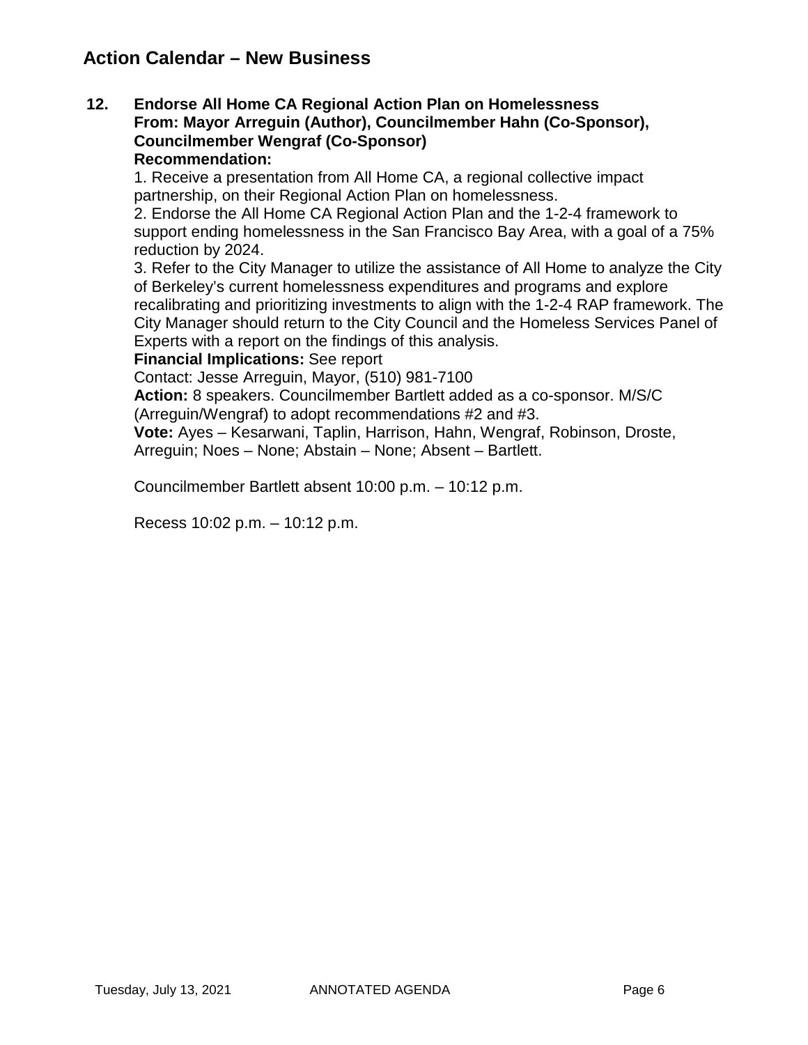# **Action Calendar – New Business**

#### **12. Endorse All Home CA Regional Action Plan on Homelessness From: Mayor Arreguin (Author), Councilmember Hahn (Co-Sponsor), Councilmember Wengraf (Co-Sponsor) Recommendation:**

1. Receive a presentation from All Home CA, a regional collective impact partnership, on their Regional Action Plan on homelessness.

2. Endorse the All Home CA Regional Action Plan and the 1-2-4 framework to support ending homelessness in the San Francisco Bay Area, with a goal of a 75% reduction by 2024.

3. Refer to the City Manager to utilize the assistance of All Home to analyze the City of Berkeley's current homelessness expenditures and programs and explore recalibrating and prioritizing investments to align with the 1-2-4 RAP framework. The City Manager should return to the City Council and the Homeless Services Panel of Experts with a report on the findings of this analysis.

#### **Financial Implications:** See report

Contact: Jesse Arreguin, Mayor, (510) 981-7100

**Action:** 8 speakers. Councilmember Bartlett added as a co-sponsor. M/S/C (Arreguin/Wengraf) to adopt recommendations #2 and #3.

**Vote:** Ayes – Kesarwani, Taplin, Harrison, Hahn, Wengraf, Robinson, Droste, Arreguin; Noes – None; Abstain – None; Absent – Bartlett.

Councilmember Bartlett absent 10:00 p.m. – 10:12 p.m.

Recess 10:02 p.m. – 10:12 p.m.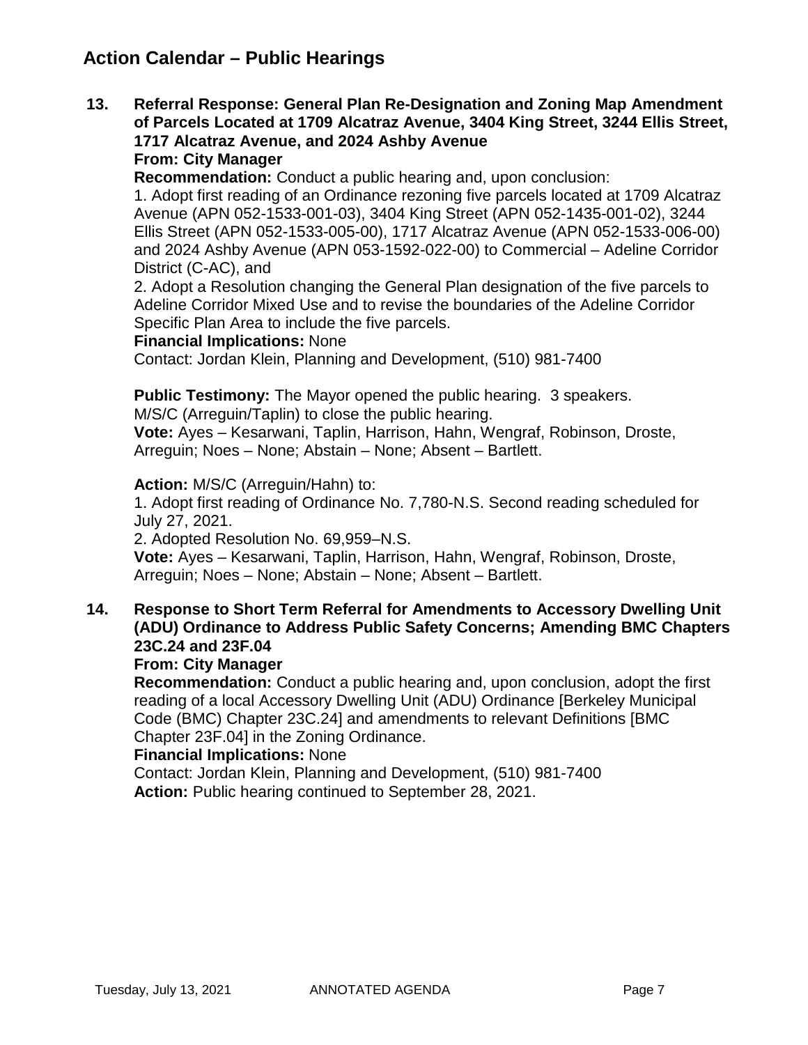# **Action Calendar – Public Hearings**

**13. Referral Response: General Plan Re-Designation and Zoning Map Amendment of Parcels Located at 1709 Alcatraz Avenue, 3404 King Street, 3244 Ellis Street, 1717 Alcatraz Avenue, and 2024 Ashby Avenue From: City Manager**

**Recommendation:** Conduct a public hearing and, upon conclusion:

1. Adopt first reading of an Ordinance rezoning five parcels located at 1709 Alcatraz Avenue (APN 052-1533-001-03), 3404 King Street (APN 052-1435-001-02), 3244 Ellis Street (APN 052-1533-005-00), 1717 Alcatraz Avenue (APN 052-1533-006-00) and 2024 Ashby Avenue (APN 053-1592-022-00) to Commercial – Adeline Corridor District (C-AC), and

2. Adopt a Resolution changing the General Plan designation of the five parcels to Adeline Corridor Mixed Use and to revise the boundaries of the Adeline Corridor Specific Plan Area to include the five parcels.

#### **Financial Implications:** None

Contact: Jordan Klein, Planning and Development, (510) 981-7400

**Public Testimony:** The Mayor opened the public hearing. 3 speakers.

M/S/C (Arreguin/Taplin) to close the public hearing.

**Vote:** Ayes – Kesarwani, Taplin, Harrison, Hahn, Wengraf, Robinson, Droste, Arreguin; Noes – None; Abstain – None; Absent – Bartlett.

**Action:** M/S/C (Arreguin/Hahn) to:

1. Adopt first reading of Ordinance No. 7,780-N.S. Second reading scheduled for July 27, 2021.

2. Adopted Resolution No. 69,959–N.S.

**Vote:** Ayes – Kesarwani, Taplin, Harrison, Hahn, Wengraf, Robinson, Droste, Arreguin; Noes – None; Abstain – None; Absent – Bartlett.

### **14. Response to Short Term Referral for Amendments to Accessory Dwelling Unit (ADU) Ordinance to Address Public Safety Concerns; Amending BMC Chapters 23C.24 and 23F.04**

#### **From: City Manager**

**Recommendation:** Conduct a public hearing and, upon conclusion, adopt the first reading of a local Accessory Dwelling Unit (ADU) Ordinance [Berkeley Municipal Code (BMC) Chapter 23C.24] and amendments to relevant Definitions [BMC Chapter 23F.04] in the Zoning Ordinance.

#### **Financial Implications:** None

Contact: Jordan Klein, Planning and Development, (510) 981-7400 **Action:** Public hearing continued to September 28, 2021.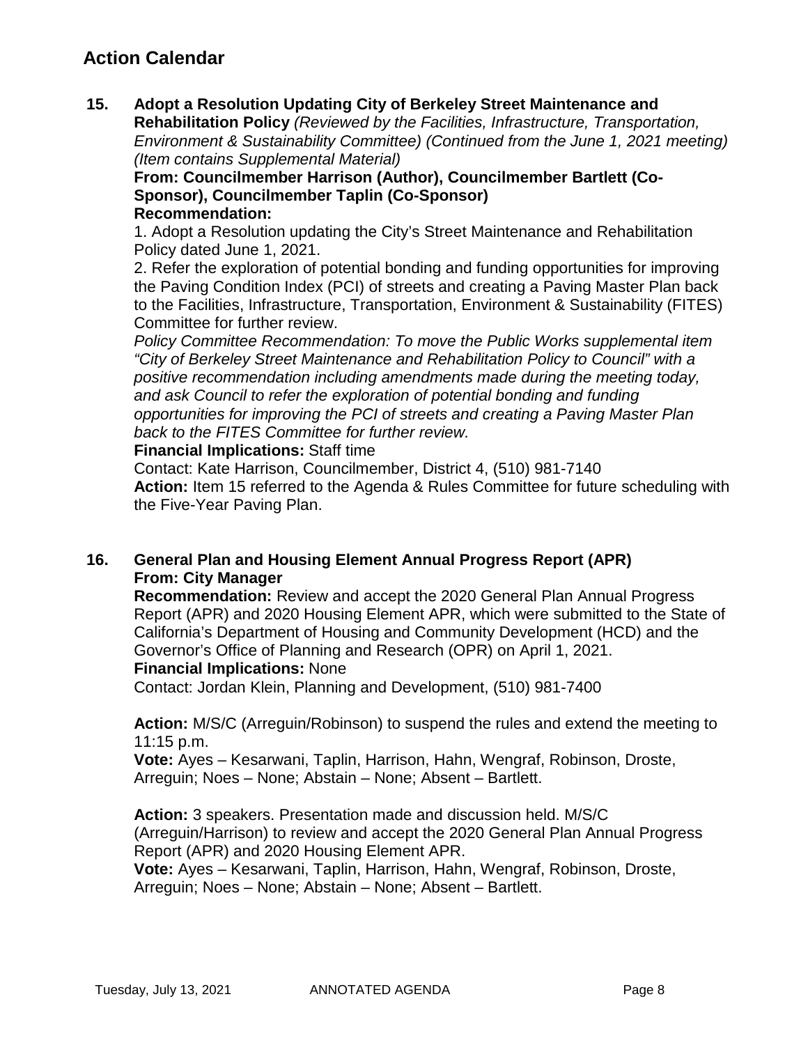# **Action Calendar**

**15. Adopt a Resolution Updating City of Berkeley Street Maintenance and** 

**Rehabilitation Policy** *(Reviewed by the Facilities, Infrastructure, Transportation, Environment & Sustainability Committee) (Continued from the June 1, 2021 meeting) (Item contains Supplemental Material)*

**From: Councilmember Harrison (Author), Councilmember Bartlett (Co-Sponsor), Councilmember Taplin (Co-Sponsor) Recommendation:** 

1. Adopt a Resolution updating the City's Street Maintenance and Rehabilitation Policy dated June 1, 2021.

2. Refer the exploration of potential bonding and funding opportunities for improving the Paving Condition Index (PCI) of streets and creating a Paving Master Plan back to the Facilities, Infrastructure, Transportation, Environment & Sustainability (FITES) Committee for further review.

*Policy Committee Recommendation: To move the Public Works supplemental item "City of Berkeley Street Maintenance and Rehabilitation Policy to Council" with a positive recommendation including amendments made during the meeting today, and ask Council to refer the exploration of potential bonding and funding opportunities for improving the PCI of streets and creating a Paving Master Plan back to the FITES Committee for further review.*

**Financial Implications:** Staff time

Contact: Kate Harrison, Councilmember, District 4, (510) 981-7140 **Action:** Item 15 referred to the Agenda & Rules Committee for future scheduling with the Five-Year Paving Plan.

#### **16. General Plan and Housing Element Annual Progress Report (APR) From: City Manager**

**Recommendation:** Review and accept the 2020 General Plan Annual Progress Report (APR) and 2020 Housing Element APR, which were submitted to the State of California's Department of Housing and Community Development (HCD) and the Governor's Office of Planning and Research (OPR) on April 1, 2021. **Financial Implications:** None

Contact: Jordan Klein, Planning and Development, (510) 981-7400

**Action:** M/S/C (Arreguin/Robinson) to suspend the rules and extend the meeting to 11:15 p.m.

**Vote:** Ayes – Kesarwani, Taplin, Harrison, Hahn, Wengraf, Robinson, Droste, Arreguin; Noes – None; Abstain – None; Absent – Bartlett.

**Action:** 3 speakers. Presentation made and discussion held. M/S/C (Arreguin/Harrison) to review and accept the 2020 General Plan Annual Progress Report (APR) and 2020 Housing Element APR.

**Vote:** Ayes – Kesarwani, Taplin, Harrison, Hahn, Wengraf, Robinson, Droste, Arreguin; Noes – None; Abstain – None; Absent – Bartlett.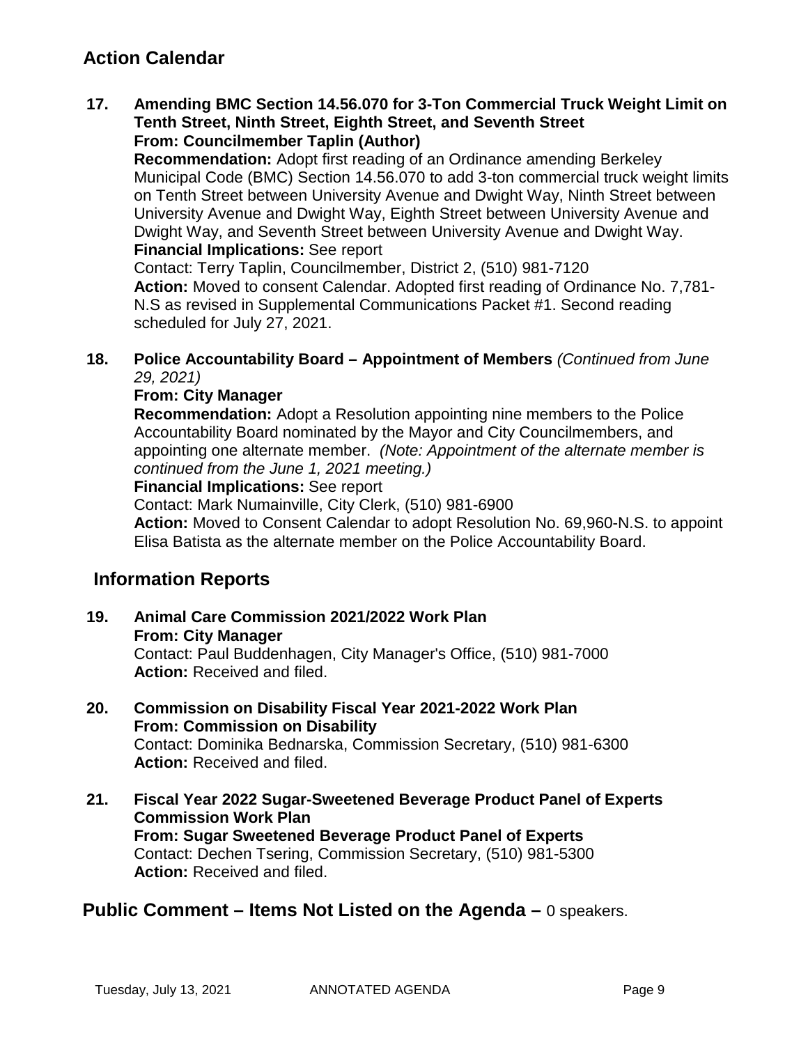# **Action Calendar**

#### **17. Amending BMC Section 14.56.070 for 3-Ton Commercial Truck Weight Limit on Tenth Street, Ninth Street, Eighth Street, and Seventh Street From: Councilmember Taplin (Author)**

**Recommendation:** Adopt first reading of an Ordinance amending Berkeley Municipal Code (BMC) Section 14.56.070 to add 3-ton commercial truck weight limits on Tenth Street between University Avenue and Dwight Way, Ninth Street between University Avenue and Dwight Way, Eighth Street between University Avenue and Dwight Way, and Seventh Street between University Avenue and Dwight Way. **Financial Implications:** See report

Contact: Terry Taplin, Councilmember, District 2, (510) 981-7120 **Action:** Moved to consent Calendar. Adopted first reading of Ordinance No. 7,781- N.S as revised in Supplemental Communications Packet #1. Second reading scheduled for July 27, 2021.

#### **18. Police Accountability Board – Appointment of Members** *(Continued from June 29, 2021)*

#### **From: City Manager**

**Recommendation:** Adopt a Resolution appointing nine members to the Police Accountability Board nominated by the Mayor and City Councilmembers, and appointing one alternate member. *(Note: Appointment of the alternate member is continued from the June 1, 2021 meeting.)*

#### **Financial Implications:** See report

Contact: Mark Numainville, City Clerk, (510) 981-6900

**Action:** Moved to Consent Calendar to adopt Resolution No. 69,960-N.S. to appoint Elisa Batista as the alternate member on the Police Accountability Board.

# **Information Reports**

- **19. Animal Care Commission 2021/2022 Work Plan From: City Manager** Contact: Paul Buddenhagen, City Manager's Office, (510) 981-7000 **Action:** Received and filed.
- **20. Commission on Disability Fiscal Year 2021-2022 Work Plan From: Commission on Disability** Contact: Dominika Bednarska, Commission Secretary, (510) 981-6300 **Action:** Received and filed.
- **21. Fiscal Year 2022 Sugar-Sweetened Beverage Product Panel of Experts Commission Work Plan From: Sugar Sweetened Beverage Product Panel of Experts** Contact: Dechen Tsering, Commission Secretary, (510) 981-5300 **Action:** Received and filed.

# **Public Comment – Items Not Listed on the Agenda –** 0 speakers.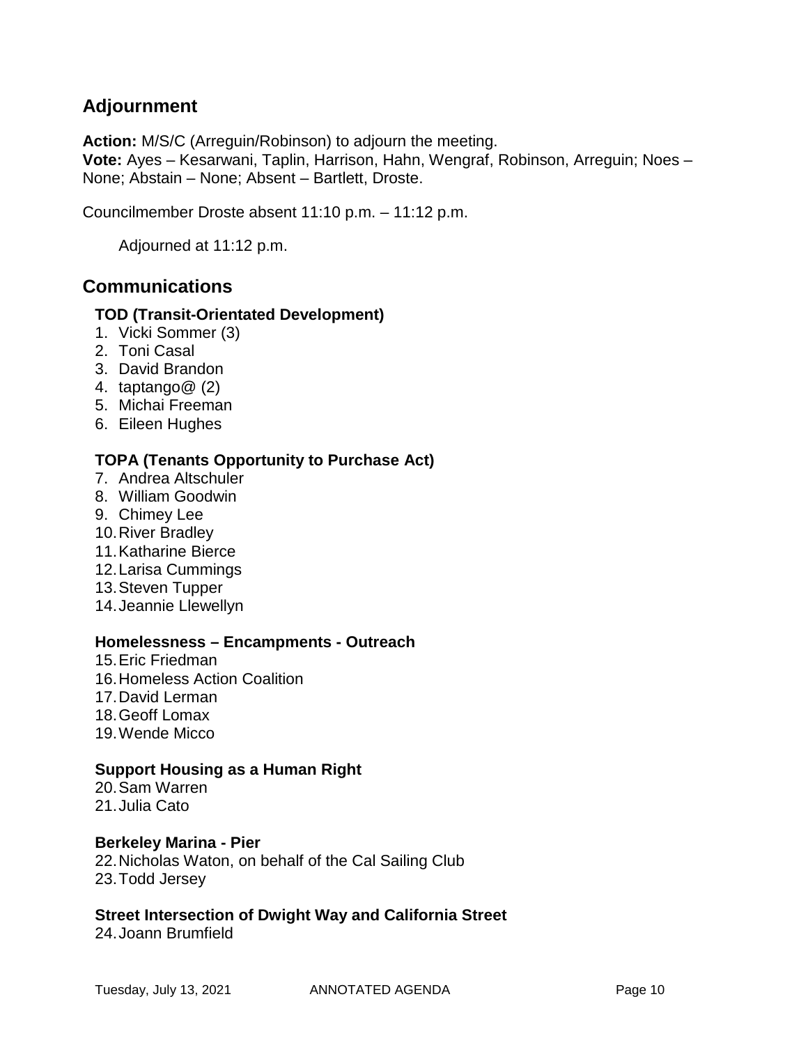# **Adjournment**

**Action:** M/S/C (Arreguin/Robinson) to adjourn the meeting.

**Vote:** Ayes – Kesarwani, Taplin, Harrison, Hahn, Wengraf, Robinson, Arreguin; Noes – None; Abstain – None; Absent – Bartlett, Droste.

Councilmember Droste absent 11:10 p.m. – 11:12 p.m.

Adjourned at 11:12 p.m.

# **Communications**

#### **TOD (Transit-Orientated Development)**

- 1. Vicki Sommer (3)
- 2. Toni Casal
- 3. David Brandon
- 4. taptango@ (2)
- 5. Michai Freeman
- 6. Eileen Hughes

#### **TOPA (Tenants Opportunity to Purchase Act)**

- 7. Andrea Altschuler
- 8. William Goodwin
- 9. Chimey Lee
- 10.River Bradley
- 11.Katharine Bierce
- 12.Larisa Cummings
- 13.Steven Tupper
- 14.Jeannie Llewellyn

#### **Homelessness – Encampments - Outreach**

- 15.Eric Friedman
- 16.Homeless Action Coalition
- 17.David Lerman
- 18.Geoff Lomax
- 19.Wende Micco

#### **Support Housing as a Human Right**

20.Sam Warren 21.Julia Cato

#### **Berkeley Marina - Pier**

22.Nicholas Waton, on behalf of the Cal Sailing Club 23.Todd Jersey

### **Street Intersection of Dwight Way and California Street**

24.Joann Brumfield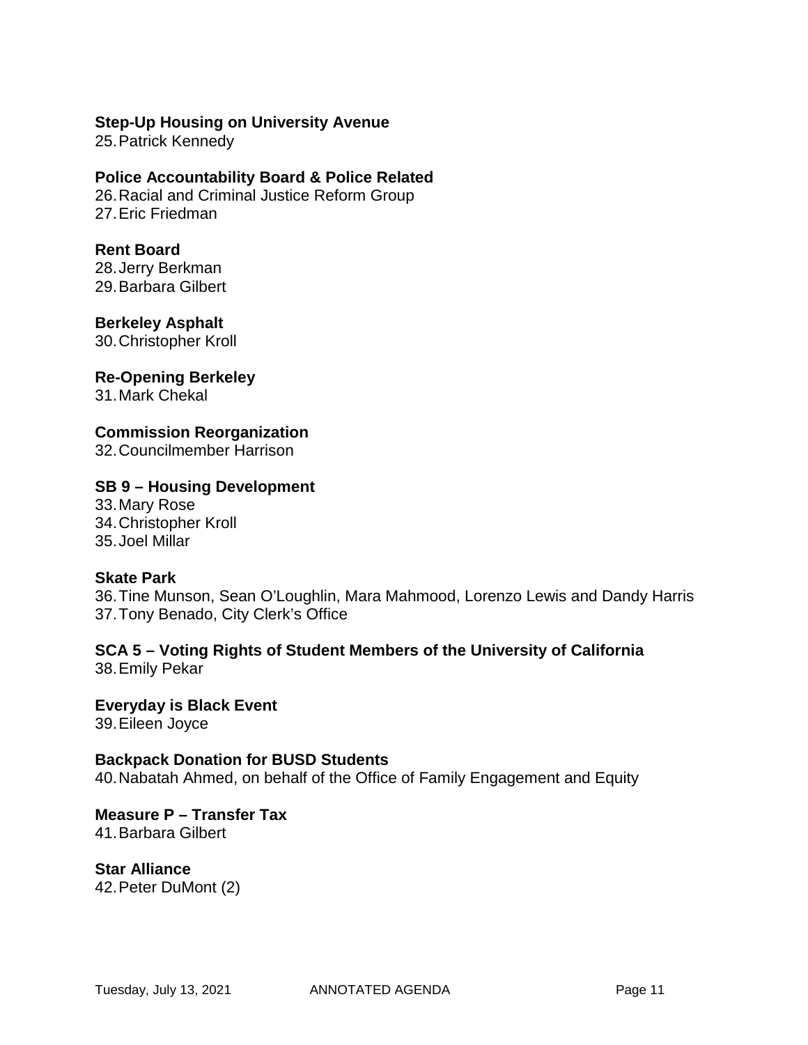#### **Step-Up Housing on University Avenue**

25.Patrick Kennedy

**Police Accountability Board & Police Related** 26.Racial and Criminal Justice Reform Group 27.Eric Friedman

# **Rent Board**

28.Jerry Berkman 29.Barbara Gilbert

**Berkeley Asphalt** 30.Christopher Kroll

**Re-Opening Berkeley**

31.Mark Chekal

### **Commission Reorganization**

32.Councilmember Harrison

#### **SB 9 – Housing Development**

33.Mary Rose 34.Christopher Kroll 35.Joel Millar

#### **Skate Park**

36.Tine Munson, Sean O'Loughlin, Mara Mahmood, Lorenzo Lewis and Dandy Harris 37.Tony Benado, City Clerk's Office

**SCA 5 – Voting Rights of Student Members of the University of California**  38.Emily Pekar

**Everyday is Black Event** 39.Eileen Joyce

#### **Backpack Donation for BUSD Students**

40.Nabatah Ahmed, on behalf of the Office of Family Engagement and Equity

**Measure P – Transfer Tax** 41.Barbara Gilbert

**Star Alliance** 42.Peter DuMont (2)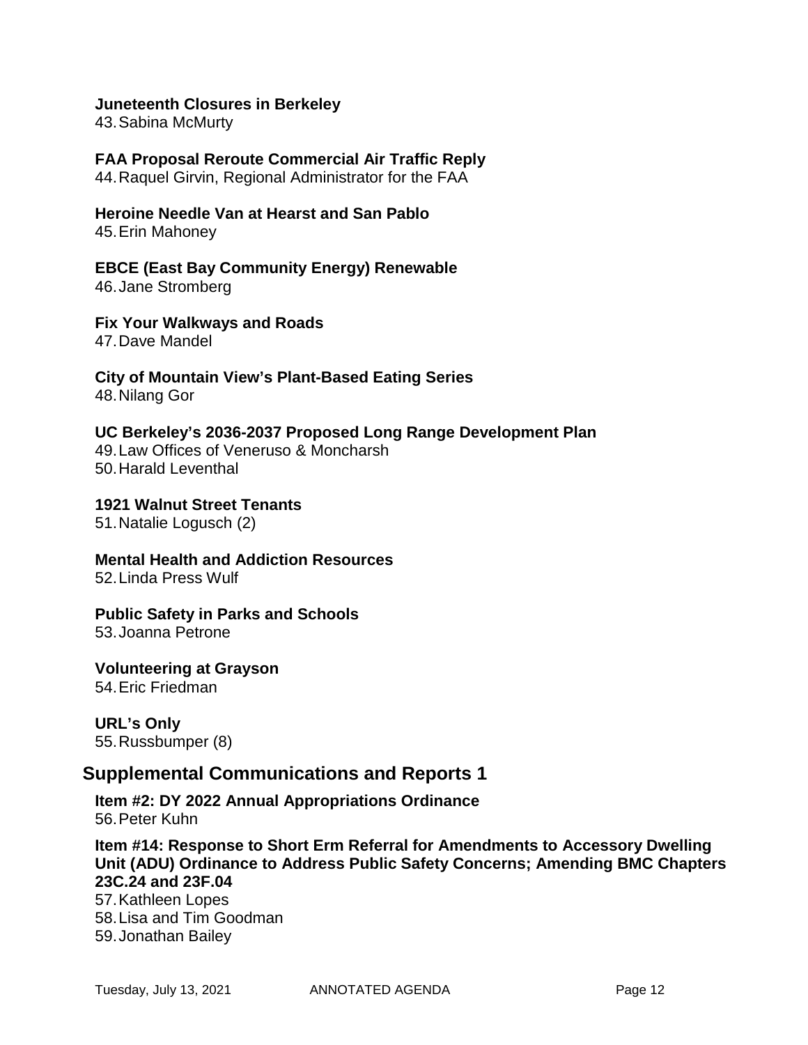#### **Juneteenth Closures in Berkeley**

43.Sabina McMurty

**FAA Proposal Reroute Commercial Air Traffic Reply** 44.Raquel Girvin, Regional Administrator for the FAA

**Heroine Needle Van at Hearst and San Pablo** 45.Erin Mahoney

**EBCE (East Bay Community Energy) Renewable** 46.Jane Stromberg

**Fix Your Walkways and Roads** 47.Dave Mandel

**City of Mountain View's Plant-Based Eating Series** 48.Nilang Gor

**UC Berkeley's 2036-2037 Proposed Long Range Development Plan** 49.Law Offices of Veneruso & Moncharsh 50.Harald Leventhal

**1921 Walnut Street Tenants**

51.Natalie Logusch (2)

**Mental Health and Addiction Resources** 52.Linda Press Wulf

#### **Public Safety in Parks and Schools**

53.Joanna Petrone

**Volunteering at Grayson** 54.Eric Friedman

**URL's Only** 55.Russbumper (8)

#### **Supplemental Communications and Reports 1**

**Item #2: DY 2022 Annual Appropriations Ordinance** 56.Peter Kuhn

**Item #14: Response to Short Erm Referral for Amendments to Accessory Dwelling Unit (ADU) Ordinance to Address Public Safety Concerns; Amending BMC Chapters 23C.24 and 23F.04**

57.Kathleen Lopes 58.Lisa and Tim Goodman 59.Jonathan Bailey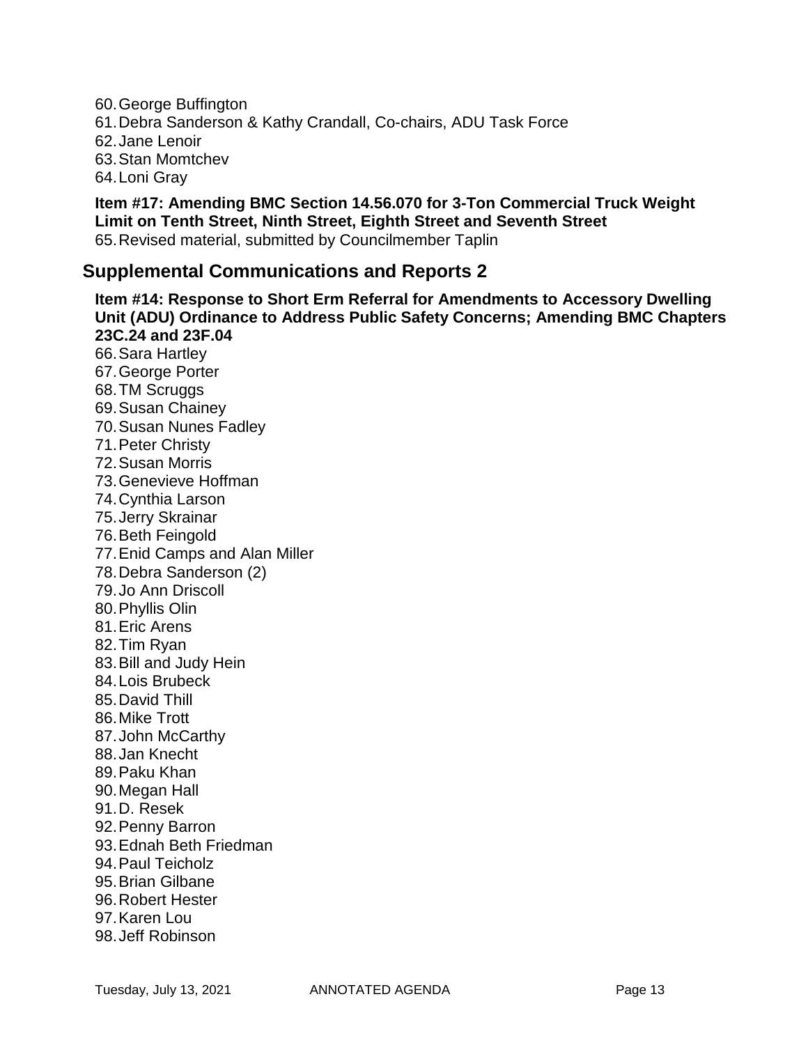60.George Buffington 61.Debra Sanderson & Kathy Crandall, Co-chairs, ADU Task Force 62.Jane Lenoir 63.Stan Momtchev 64.Loni Gray

**Item #17: Amending BMC Section 14.56.070 for 3-Ton Commercial Truck Weight Limit on Tenth Street, Ninth Street, Eighth Street and Seventh Street** 65.Revised material, submitted by Councilmember Taplin

# **Supplemental Communications and Reports 2**

**Item #14: Response to Short Erm Referral for Amendments to Accessory Dwelling Unit (ADU) Ordinance to Address Public Safety Concerns; Amending BMC Chapters 23C.24 and 23F.04** 66.Sara Hartley 67.George Porter 68.TM Scruggs 69.Susan Chainey 70.Susan Nunes Fadley 71.Peter Christy 72.Susan Morris 73.Genevieve Hoffman 74.Cynthia Larson 75.Jerry Skrainar 76.Beth Feingold 77.Enid Camps and Alan Miller 78.Debra Sanderson (2) 79.Jo Ann Driscoll 80.Phyllis Olin 81.Eric Arens 82.Tim Ryan 83.Bill and Judy Hein 84.Lois Brubeck 85.David Thill 86.Mike Trott 87.John McCarthy 88.Jan Knecht 89.Paku Khan 90.Megan Hall 91.D. Resek 92.Penny Barron 93.Ednah Beth Friedman 94.Paul Teicholz 95.Brian Gilbane 96.Robert Hester 97.Karen Lou 98.Jeff Robinson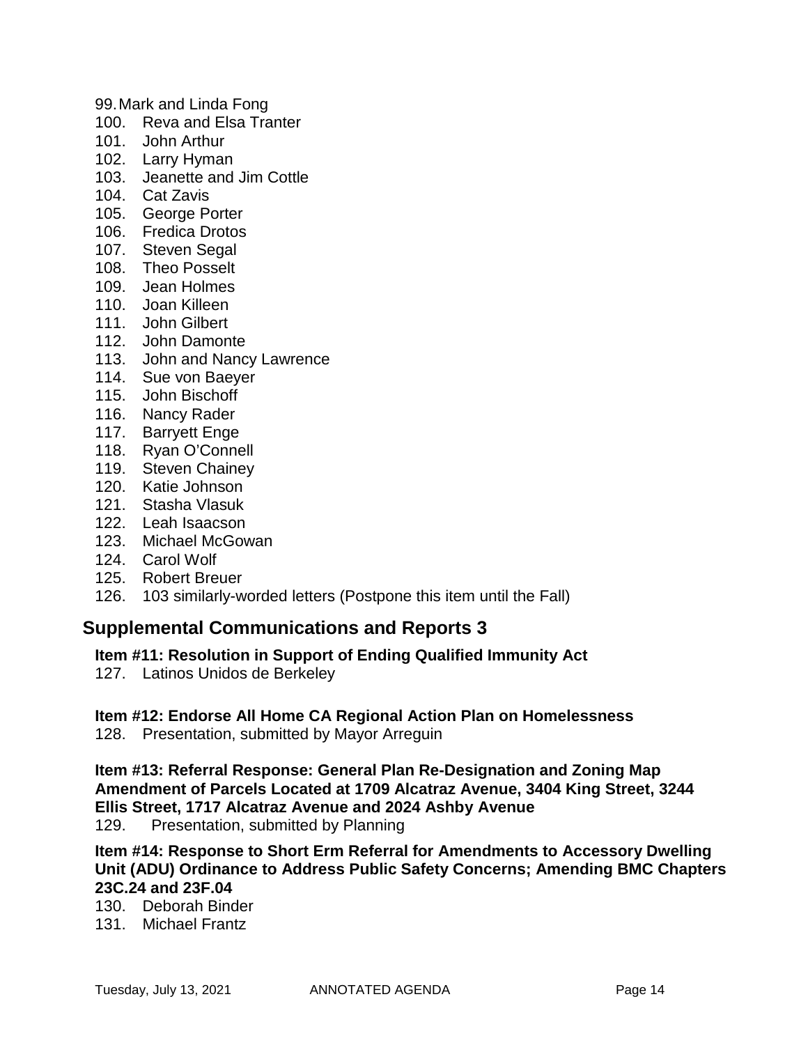99.Mark and Linda Fong

- 100. Reva and Elsa Tranter
- 101. John Arthur
- 102. Larry Hyman
- 103. Jeanette and Jim Cottle
- 104. Cat Zavis
- 105. George Porter
- 106. Fredica Drotos
- 107. Steven Segal
- 108. Theo Posselt
- 109. Jean Holmes
- 110. Joan Killeen
- 111. John Gilbert
- 112. John Damonte
- 113. John and Nancy Lawrence
- 114. Sue von Baeyer
- 115. John Bischoff
- 116. Nancy Rader
- 117. Barryett Enge
- 118. Ryan O'Connell
- 119. Steven Chainey
- 120. Katie Johnson
- 121. Stasha Vlasuk
- 122. Leah Isaacson
- 123. Michael McGowan
- 124. Carol Wolf
- 125. Robert Breuer
- 126. 103 similarly-worded letters (Postpone this item until the Fall)

# **Supplemental Communications and Reports 3**

#### **Item #11: Resolution in Support of Ending Qualified Immunity Act**

127. Latinos Unidos de Berkeley

#### **Item #12: Endorse All Home CA Regional Action Plan on Homelessness**

128. Presentation, submitted by Mayor Arreguin

**Item #13: Referral Response: General Plan Re-Designation and Zoning Map Amendment of Parcels Located at 1709 Alcatraz Avenue, 3404 King Street, 3244 Ellis Street, 1717 Alcatraz Avenue and 2024 Ashby Avenue**

129. Presentation, submitted by Planning

**Item #14: Response to Short Erm Referral for Amendments to Accessory Dwelling Unit (ADU) Ordinance to Address Public Safety Concerns; Amending BMC Chapters 23C.24 and 23F.04**

130. Deborah Binder

131. Michael Frantz